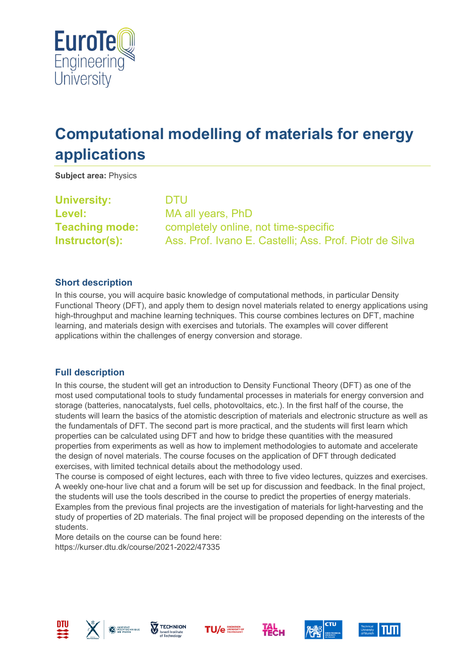

# **Computational modelling of materials for energy applications**

**Subject area:** Physics

**University:** DTU **Level:** MA all years, PhD

**Teaching mode:** completely online, not time-specific **Instructor(s):** Ass. Prof. Ivano E. Castelli; Ass. Prof. Piotr de Silva

## **Short description**

In this course, you will acquire basic knowledge of computational methods, in particular Density Functional Theory (DFT), and apply them to design novel materials related to energy applications using high-throughput and machine learning techniques. This course combines lectures on DFT, machine learning, and materials design with exercises and tutorials. The examples will cover different applications within the challenges of energy conversion and storage.

## **Full description**

In this course, the student will get an introduction to Density Functional Theory (DFT) as one of the most used computational tools to study fundamental processes in materials for energy conversion and storage (batteries, nanocatalysts, fuel cells, photovoltaics, etc.). In the first half of the course, the students will learn the basics of the atomistic description of materials and electronic structure as well as the fundamentals of DFT. The second part is more practical, and the students will first learn which properties can be calculated using DFT and how to bridge these quantities with the measured properties from experiments as well as how to implement methodologies to automate and accelerate the design of novel materials. The course focuses on the application of DFT through dedicated exercises, with limited technical details about the methodology used.

The course is composed of eight lectures, each with three to five video lectures, quizzes and exercises. A weekly one-hour live chat and a forum will be set up for discussion and feedback. In the final project, the students will use the tools described in the course to predict the properties of energy materials. Examples from the previous final projects are the investigation of materials for light-harvesting and the study of properties of 2D materials. The final project will be proposed depending on the interests of the students.

More details on the course can be found here: https://kurser.dtu.dk/course/2021-2022/47335











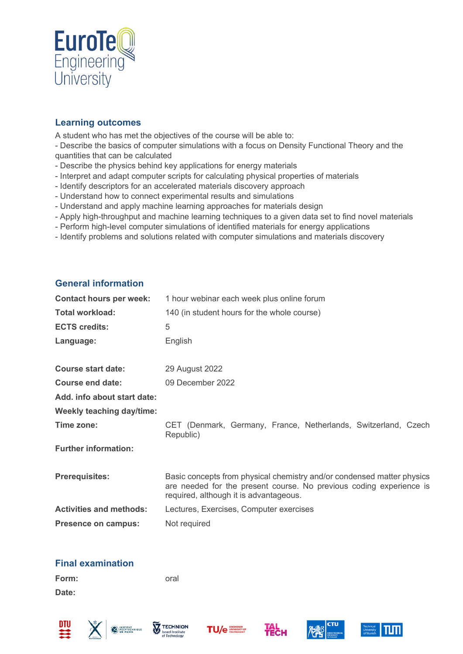

## **Learning outcomes**

A student who has met the objectives of the course will be able to:

- Describe the basics of computer simulations with a focus on Density Functional Theory and the quantities that can be calculated

- Describe the physics behind key applications for energy materials
- Interpret and adapt computer scripts for calculating physical properties of materials
- Identify descriptors for an accelerated materials discovery approach
- Understand how to connect experimental results and simulations
- Understand and apply machine learning approaches for materials design
- Apply high-throughput and machine learning techniques to a given data set to find novel materials
- Perform high-level computer simulations of identified materials for energy applications
- Identify problems and solutions related with computer simulations and materials discovery

#### **General information**

| <b>Contact hours per week:</b>   | 1 hour webinar each week plus online forum                                                                                                                                              |  |
|----------------------------------|-----------------------------------------------------------------------------------------------------------------------------------------------------------------------------------------|--|
| <b>Total workload:</b>           | 140 (in student hours for the whole course)                                                                                                                                             |  |
| <b>ECTS credits:</b>             | 5                                                                                                                                                                                       |  |
| Language:                        | English                                                                                                                                                                                 |  |
| <b>Course start date:</b>        | 29 August 2022                                                                                                                                                                          |  |
| Course end date:                 | 09 December 2022                                                                                                                                                                        |  |
| Add. info about start date:      |                                                                                                                                                                                         |  |
| <b>Weekly teaching day/time:</b> |                                                                                                                                                                                         |  |
| Time zone:                       | CET (Denmark, Germany, France, Netherlands, Switzerland, Czech<br>Republic)                                                                                                             |  |
| <b>Further information:</b>      |                                                                                                                                                                                         |  |
| <b>Prerequisites:</b>            | Basic concepts from physical chemistry and/or condensed matter physics<br>are needed for the present course. No previous coding experience is<br>required, although it is advantageous. |  |
| <b>Activities and methods:</b>   | Lectures, Exercises, Computer exercises                                                                                                                                                 |  |
| <b>Presence on campus:</b>       | Not required                                                                                                                                                                            |  |
|                                  |                                                                                                                                                                                         |  |

#### **Final examination**

**Form:** oral **Date:**